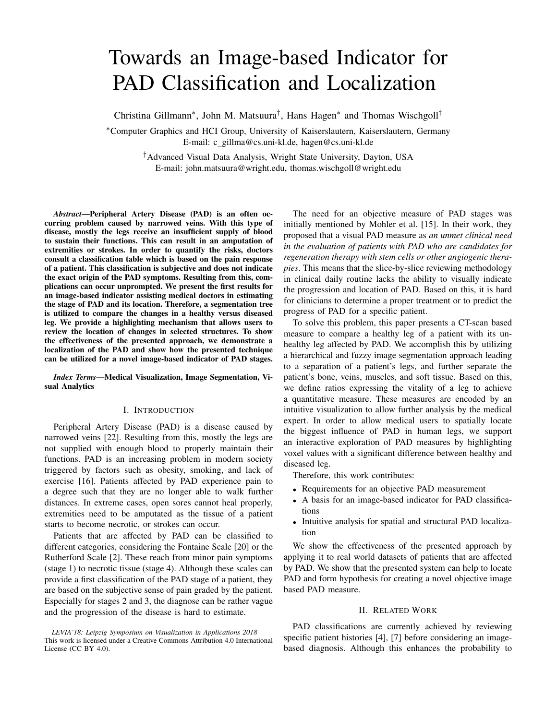# Towards an Image-based Indicator for PAD Classification and Localization

Christina Gillmann<sup>∗</sup> , John M. Matsuura† , Hans Hagen<sup>∗</sup> and Thomas Wischgoll†

<sup>∗</sup>Computer Graphics and HCI Group, University of Kaiserslautern, Kaiserslautern, Germany E-mail: c gillma@cs.uni-kl.de, hagen@cs.uni-kl.de

> †Advanced Visual Data Analysis, Wright State University, Dayton, USA E-mail: john.matsuura@wright.edu, thomas.wischgoll@wright.edu

*Abstract*—Peripheral Artery Disease (PAD) is an often occurring problem caused by narrowed veins. With this type of disease, mostly the legs receive an insufficient supply of blood to sustain their functions. This can result in an amputation of extremities or strokes. In order to quantify the risks, doctors consult a classification table which is based on the pain response of a patient. This classification is subjective and does not indicate the exact origin of the PAD symptoms. Resulting from this, complications can occur unprompted. We present the first results for an image-based indicator assisting medical doctors in estimating the stage of PAD and its location. Therefore, a segmentation tree is utilized to compare the changes in a healthy versus diseased leg. We provide a highlighting mechanism that allows users to review the location of changes in selected structures. To show the effectiveness of the presented approach, we demonstrate a localization of the PAD and show how the presented technique can be utilized for a novel image-based indicator of PAD stages.

*Index Terms*—Medical Visualization, Image Segmentation, Visual Analytics

#### I. INTRODUCTION

Peripheral Artery Disease (PAD) is a disease caused by narrowed veins [\[22\]](#page-7-0). Resulting from this, mostly the legs are not supplied with enough blood to properly maintain their functions. PAD is an increasing problem in modern society triggered by factors such as obesity, smoking, and lack of exercise [\[16\]](#page-6-0). Patients affected by PAD experience pain to a degree such that they are no longer able to walk further distances. In extreme cases, open sores cannot heal properly, extremities need to be amputated as the tissue of a patient starts to become necrotic, or strokes can occur.

Patients that are affected by PAD can be classified to different categories, considering the Fontaine Scale [\[20\]](#page-7-1) or the Rutherford Scale [\[2\]](#page-6-1). These reach from minor pain symptoms (stage 1) to necrotic tissue (stage 4). Although these scales can provide a first classification of the PAD stage of a patient, they are based on the subjective sense of pain graded by the patient. Especially for stages 2 and 3, the diagnose can be rather vague and the progression of the disease is hard to estimate.

*LEVIA'18: Leipzig Symposium on Visualization in Applications 2018* This work is licensed under a Creative Commons Attribution 4.0 International License (CC BY 4.0).

The need for an objective measure of PAD stages was initially mentioned by Mohler et al. [\[15\]](#page-6-2). In their work, they proposed that a visual PAD measure as *an unmet clinical need in the evaluation of patients with PAD who are candidates for regeneration therapy with stem cells or other angiogenic therapies*. This means that the slice-by-slice reviewing methodology in clinical daily routine lacks the ability to visually indicate the progression and location of PAD. Based on this, it is hard for clinicians to determine a proper treatment or to predict the progress of PAD for a specific patient.

To solve this problem, this paper presents a CT-scan based measure to compare a healthy leg of a patient with its unhealthy leg affected by PAD. We accomplish this by utilizing a hierarchical and fuzzy image segmentation approach leading to a separation of a patient's legs, and further separate the patient's bone, veins, muscles, and soft tissue. Based on this, we define ratios expressing the vitality of a leg to achieve a quantitative measure. These measures are encoded by an intuitive visualization to allow further analysis by the medical expert. In order to allow medical users to spatially locate the biggest influence of PAD in human legs, we support an interactive exploration of PAD measures by highlighting voxel values with a significant difference between healthy and diseased leg.

Therefore, this work contributes:

- Requirements for an objective PAD measurement
- A basis for an image-based indicator for PAD classifications
- Intuitive analysis for spatial and structural PAD localization

We show the effectiveness of the presented approach by applying it to real world datasets of patients that are affected by PAD. We show that the presented system can help to locate PAD and form hypothesis for creating a novel objective image based PAD measure.

#### II. RELATED WORK

PAD classifications are currently achieved by reviewing specific patient histories [\[4\]](#page-6-3), [\[7\]](#page-6-4) before considering an imagebased diagnosis. Although this enhances the probability to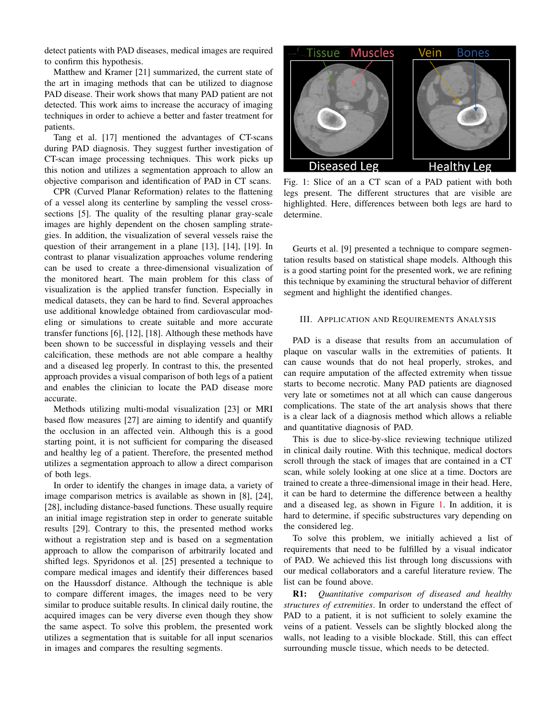detect patients with PAD diseases, medical images are required to confirm this hypothesis.

Matthew and Kramer [\[21\]](#page-7-2) summarized, the current state of the art in imaging methods that can be utilized to diagnose PAD disease. Their work shows that many PAD patient are not detected. This work aims to increase the accuracy of imaging techniques in order to achieve a better and faster treatment for patients.

Tang et al. [\[17\]](#page-6-5) mentioned the advantages of CT-scans during PAD diagnosis. They suggest further investigation of CT-scan image processing techniques. This work picks up this notion and utilizes a segmentation approach to allow an objective comparison and identification of PAD in CT scans.

CPR (Curved Planar Reformation) relates to the flattening of a vessel along its centerline by sampling the vessel crosssections [\[5\]](#page-6-6). The quality of the resulting planar gray-scale images are highly dependent on the chosen sampling strategies. In addition, the visualization of several vessels raise the question of their arrangement in a plane [\[13\]](#page-6-7), [\[14\]](#page-6-8), [\[19\]](#page-6-9). In contrast to planar visualization approaches volume rendering can be used to create a three-dimensional visualization of the monitored heart. The main problem for this class of visualization is the applied transfer function. Especially in medical datasets, they can be hard to find. Several approaches use additional knowledge obtained from cardiovascular modeling or simulations to create suitable and more accurate transfer functions [\[6\]](#page-6-10), [\[12\]](#page-6-11), [\[18\]](#page-6-12). Although these methods have been shown to be successful in displaying vessels and their calcification, these methods are not able compare a healthy and a diseased leg properly. In contrast to this, the presented approach provides a visual comparison of both legs of a patient and enables the clinician to locate the PAD disease more accurate.

Methods utilizing multi-modal visualization [\[23\]](#page-7-3) or MRI based flow measures [\[27\]](#page-7-4) are aiming to identify and quantify the occlusion in an affected vein. Although this is a good starting point, it is not sufficient for comparing the diseased and healthy leg of a patient. Therefore, the presented method utilizes a segmentation approach to allow a direct comparison of both legs.

In order to identify the changes in image data, a variety of image comparison metrics is available as shown in [\[8\]](#page-6-13), [\[24\]](#page-7-5), [\[28\]](#page-7-6), including distance-based functions. These usually require an initial image registration step in order to generate suitable results [\[29\]](#page-7-7). Contrary to this, the presented method works without a registration step and is based on a segmentation approach to allow the comparison of arbitrarily located and shifted legs. Spyridonos et al. [\[25\]](#page-7-8) presented a technique to compare medical images and identify their differences based on the Haussdorf distance. Although the technique is able to compare different images, the images need to be very similar to produce suitable results. In clinical daily routine, the acquired images can be very diverse even though they show the same aspect. To solve this problem, the presented work utilizes a segmentation that is suitable for all input scenarios in images and compares the resulting segments.

<span id="page-1-0"></span>

Fig. 1: Slice of an a CT scan of a PAD patient with both legs present. The different structures that are visible are highlighted. Here, differences between both legs are hard to determine.

Geurts et al. [\[9\]](#page-6-14) presented a technique to compare segmentation results based on statistical shape models. Although this is a good starting point for the presented work, we are refining this technique by examining the structural behavior of different segment and highlight the identified changes.

# <span id="page-1-1"></span>III. APPLICATION AND REQUIREMENTS ANALYSIS

PAD is a disease that results from an accumulation of plaque on vascular walls in the extremities of patients. It can cause wounds that do not heal properly, strokes, and can require amputation of the affected extremity when tissue starts to become necrotic. Many PAD patients are diagnosed very late or sometimes not at all which can cause dangerous complications. The state of the art analysis shows that there is a clear lack of a diagnosis method which allows a reliable and quantitative diagnosis of PAD.

This is due to slice-by-slice reviewing technique utilized in clinical daily routine. With this technique, medical doctors scroll through the stack of images that are contained in a CT scan, while solely looking at one slice at a time. Doctors are trained to create a three-dimensional image in their head. Here, it can be hard to determine the difference between a healthy and a diseased leg, as shown in Figure [1.](#page-1-0) In addition, it is hard to determine, if specific substructures vary depending on the considered leg.

To solve this problem, we initially achieved a list of requirements that need to be fulfilled by a visual indicator of PAD. We achieved this list through long discussions with our medical collaborators and a careful literature review. The list can be found above.

R1: *Quantitative comparison of diseased and healthy structures of extremities*. In order to understand the effect of PAD to a patient, it is not sufficient to solely examine the veins of a patient. Vessels can be slightly blocked along the walls, not leading to a visible blockade. Still, this can effect surrounding muscle tissue, which needs to be detected.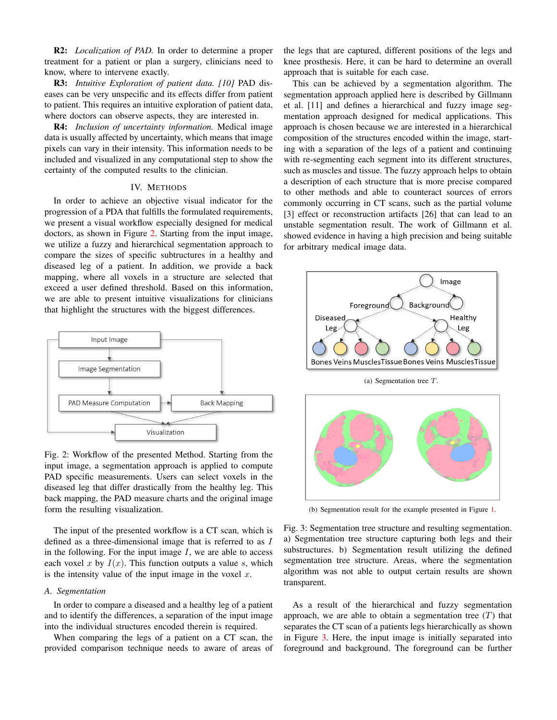R2: *Localization of PAD.* In order to determine a proper treatment for a patient or plan a surgery, clinicians need to know, where to intervene exactly.

R3: *Intuitive Exploration of patient data. [\[10\]](#page-6-15)* PAD diseases can be very unspecific and its effects differ from patient to patient. This requires an intuitive exploration of patient data, where doctors can observe aspects, they are interested in.

R4: *Inclusion of uncertainty information.* Medical image data is usually affected by uncertainty, which means that image pixels can vary in their intensity. This information needs to be included and visualized in any computational step to show the certainty of the computed results to the clinician.

## IV. METHODS

In order to achieve an objective visual indicator for the progression of a PDA that fulfills the formulated requirements, we present a visual workflow especially designed for medical doctors, as shown in Figure [2.](#page-2-0) Starting from the input image, we utilize a fuzzy and hierarchical segmentation approach to compare the sizes of specific subtructures in a healthy and diseased leg of a patient. In addition, we provide a back mapping, where all voxels in a structure are selected that exceed a user defined threshold. Based on this information, we are able to present intuitive visualizations for clinicians that highlight the structures with the biggest differences.

<span id="page-2-0"></span>

Fig. 2: Workflow of the presented Method. Starting from the input image, a segmentation approach is applied to compute PAD specific measurements. Users can select voxels in the diseased leg that differ drastically from the healthy leg. This back mapping, the PAD measure charts and the original image form the resulting visualization.

The input of the presented workflow is a CT scan, which is defined as a three-dimensional image that is referred to as I in the following. For the input image  $I$ , we are able to access each voxel x by  $I(x)$ . This function outputs a value s, which is the intensity value of the input image in the voxel  $x$ .

#### *A. Segmentation*

In order to compare a diseased and a healthy leg of a patient and to identify the differences, a separation of the input image into the individual structures encoded therein is required.

When comparing the legs of a patient on a CT scan, the provided comparison technique needs to aware of areas of

the legs that are captured, different positions of the legs and knee prosthesis. Here, it can be hard to determine an overall approach that is suitable for each case.

This can be achieved by a segmentation algorithm. The segmentation approach applied here is described by Gillmann et al. [\[11\]](#page-6-16) and defines a hierarchical and fuzzy image segmentation approach designed for medical applications. This approach is chosen because we are interested in a hierarchical composition of the structures encoded within the image, starting with a separation of the legs of a patient and continuing with re-segmenting each segment into its different structures, such as muscles and tissue. The fuzzy approach helps to obtain a description of each structure that is more precise compared to other methods and able to counteract sources of errors commonly occurring in CT scans, such as the partial volume [\[3\]](#page-6-17) effect or reconstruction artifacts [\[26\]](#page-7-9) that can lead to an unstable segmentation result. The work of Gillmann et al. showed evidence in having a high precision and being suitable for arbitrary medical image data.

<span id="page-2-1"></span>

(a) Segmentation tree T.



(b) Segmentation result for the example presented in Figure [1.](#page-1-0)

Fig. 3: Segmentation tree structure and resulting segmentation. a) Segmentation tree structure capturing both legs and their substructures. b) Segmentation result utilizing the defined segmentation tree structure. Areas, where the segmentation algorithm was not able to output certain results are shown transparent.

As a result of the hierarchical and fuzzy segmentation approach, we are able to obtain a segmentation tree  $(T)$  that separates the CT scan of a patients legs hierarchically as shown in Figure [3.](#page-2-1) Here, the input image is initially separated into foreground and background. The foreground can be further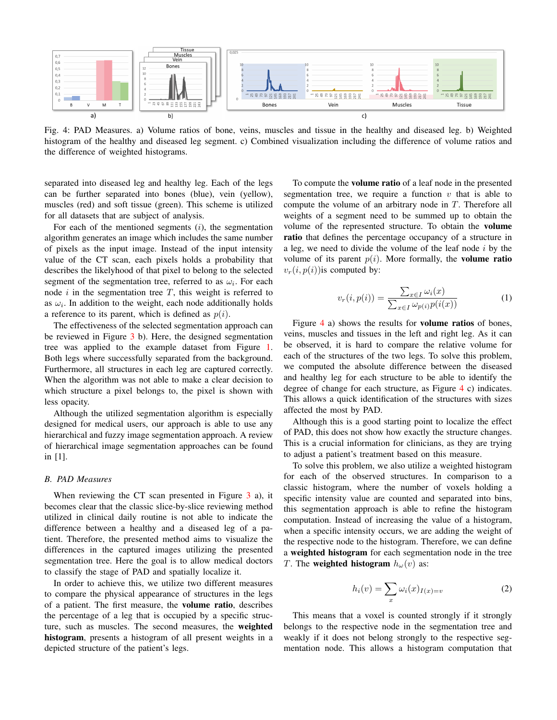<span id="page-3-0"></span>

Fig. 4: PAD Measures. a) Volume ratios of bone, veins, muscles and tissue in the healthy and diseased leg. b) Weighted histogram of the healthy and diseased leg segment. c) Combined visualization including the difference of volume ratios and the difference of weighted histograms.

separated into diseased leg and healthy leg. Each of the legs can be further separated into bones (blue), vein (yellow), muscles (red) and soft tissue (green). This scheme is utilized for all datasets that are subject of analysis.

For each of the mentioned segments  $(i)$ , the segmentation algorithm generates an image which includes the same number of pixels as the input image. Instead of the input intensity value of the CT scan, each pixels holds a probability that describes the likelyhood of that pixel to belong to the selected segment of the segmentation tree, referred to as  $\omega_i$ . For each node  $i$  in the segmentation tree  $T$ , this weight is referred to as  $\omega_i$ . In addition to the weight, each node additionally holds a reference to its parent, which is defined as  $p(i)$ .

The effectiveness of the selected segmentation approach can be reviewed in Figure [3](#page-2-1) b). Here, the designed segmentation tree was applied to the example dataset from Figure [1.](#page-1-0) Both legs where successfully separated from the background. Furthermore, all structures in each leg are captured correctly. When the algorithm was not able to make a clear decision to which structure a pixel belongs to, the pixel is shown with less opacity.

Although the utilized segmentation algorithm is especially designed for medical users, our approach is able to use any hierarchical and fuzzy image segmentation approach. A review of hierarchical image segmentation approaches can be found in [\[1\]](#page-6-18).

# *B. PAD Measures*

When reviewing the CT scan presented in Figure  $3$  a), it becomes clear that the classic slice-by-slice reviewing method utilized in clinical daily routine is not able to indicate the difference between a healthy and a diseased leg of a patient. Therefore, the presented method aims to visualize the differences in the captured images utilizing the presented segmentation tree. Here the goal is to allow medical doctors to classify the stage of PAD and spatially localize it.

In order to achieve this, we utilize two different measures to compare the physical appearance of structures in the legs of a patient. The first measure, the volume ratio, describes the percentage of a leg that is occupied by a specific structure, such as muscles. The second measures, the weighted histogram, presents a histogram of all present weights in a depicted structure of the patient's legs.

To compute the volume ratio of a leaf node in the presented segmentation tree, we require a function  $v$  that is able to compute the volume of an arbitrary node in T. Therefore all weights of a segment need to be summed up to obtain the volume of the represented structure. To obtain the volume ratio that defines the percentage occupancy of a structure in a leg, we need to divide the volume of the leaf node  $i$  by the volume of its parent  $p(i)$ . More formally, the **volume ratio**  $v_r(i, p(i))$  is computed by:

$$
v_r(i, p(i)) = \frac{\sum_{x \in I} \omega_i(x)}{\sum_{x \in I} \omega_{p(i)} p(i(x))}
$$
(1)

Figure [4](#page-3-0) a) shows the results for volume ratios of bones, veins, muscles and tissues in the left and right leg. As it can be observed, it is hard to compare the relative volume for each of the structures of the two legs. To solve this problem, we computed the absolute difference between the diseased and healthy leg for each structure to be able to identify the degree of change for each structure, as Figure [4](#page-3-0) c) indicates. This allows a quick identification of the structures with sizes affected the most by PAD.

Although this is a good starting point to localize the effect of PAD, this does not show how exactly the structure changes. This is a crucial information for clinicians, as they are trying to adjust a patient's treatment based on this measure.

To solve this problem, we also utilize a weighted histogram for each of the observed structures. In comparison to a classic histogram, where the number of voxels holding a specific intensity value are counted and separated into bins, this segmentation approach is able to refine the histogram computation. Instead of increasing the value of a histogram, when a specific intensity occurs, we are adding the weight of the respective node to the histogram. Therefore, we can define a weighted histogram for each segmentation node in the tree T. The weighted histogram  $h_{\omega}(v)$  as:

$$
h_i(v) = \sum_x \omega_i(x)_{I(x)=v} \tag{2}
$$

This means that a voxel is counted strongly if it strongly belongs to the respective node in the segmentation tree and weakly if it does not belong strongly to the respective segmentation node. This allows a histogram computation that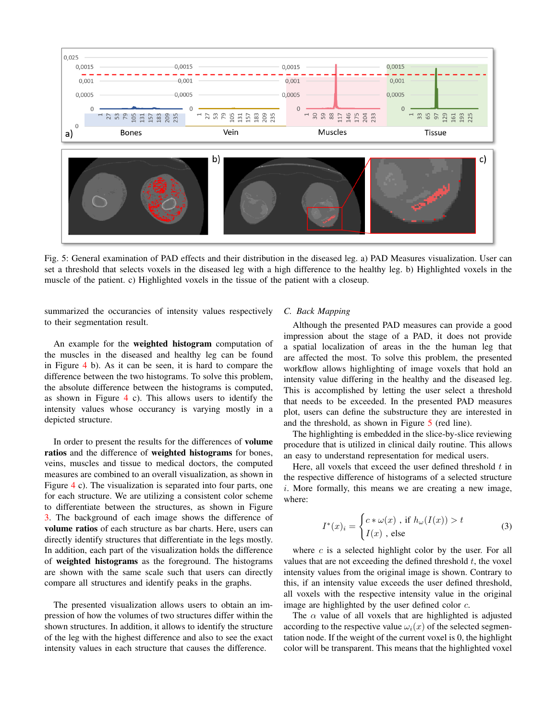<span id="page-4-0"></span>

Fig. 5: General examination of PAD effects and their distribution in the diseased leg. a) PAD Measures visualization. User can set a threshold that selects voxels in the diseased leg with a high difference to the healthy leg. b) Highlighted voxels in the muscle of the patient. c) Highlighted voxels in the tissue of the patient with a closeup.

summarized the occurancies of intensity values respectively to their segmentation result.

An example for the weighted histogram computation of the muscles in the diseased and healthy leg can be found in Figure [4](#page-3-0) b). As it can be seen, it is hard to compare the difference between the two histograms. To solve this problem, the absolute difference between the histograms is computed, as shown in Figure [4](#page-3-0) c). This allows users to identify the intensity values whose occurancy is varying mostly in a depicted structure.

In order to present the results for the differences of volume ratios and the difference of weighted histograms for bones, veins, muscles and tissue to medical doctors, the computed measures are combined to an overall visualization, as shown in Figure [4](#page-3-0) c). The visualization is separated into four parts, one for each structure. We are utilizing a consistent color scheme to differentiate between the structures, as shown in Figure [3.](#page-2-1) The background of each image shows the difference of volume ratios of each structure as bar charts. Here, users can directly identify structures that differentiate in the legs mostly. In addition, each part of the visualization holds the difference of weighted histograms as the foreground. The histograms are shown with the same scale such that users can directly compare all structures and identify peaks in the graphs.

The presented visualization allows users to obtain an impression of how the volumes of two structures differ within the shown structures. In addition, it allows to identify the structure of the leg with the highest difference and also to see the exact intensity values in each structure that causes the difference.

#### *C. Back Mapping*

Although the presented PAD measures can provide a good impression about the stage of a PAD, it does not provide a spatial localization of areas in the the human leg that are affected the most. To solve this problem, the presented workflow allows highlighting of image voxels that hold an intensity value differing in the healthy and the diseased leg. This is accomplished by letting the user select a threshold that needs to be exceeded. In the presented PAD measures plot, users can define the substructure they are interested in and the threshold, as shown in Figure [5](#page-4-0) (red line).

The highlighting is embedded in the slice-by-slice reviewing procedure that is utilized in clinical daily routine. This allows an easy to understand representation for medical users.

Here, all voxels that exceed the user defined threshold  $t$  in the respective difference of histograms of a selected structure i. More formally, this means we are creating a new image, where:

$$
I^*(x)_i = \begin{cases} c * \omega(x) , \text{ if } h_\omega(I(x)) > t \\ I(x) , \text{ else} \end{cases}
$$
 (3)

where  $c$  is a selected highlight color by the user. For all values that are not exceeding the defined threshold  $t$ , the voxel intensity values from the original image is shown. Contrary to this, if an intensity value exceeds the user defined threshold, all voxels with the respective intensity value in the original image are highlighted by the user defined color  $c$ .

The  $\alpha$  value of all voxels that are highlighted is adjusted according to the respective value  $\omega_i(x)$  of the selected segmentation node. If the weight of the current voxel is 0, the highlight color will be transparent. This means that the highlighted voxel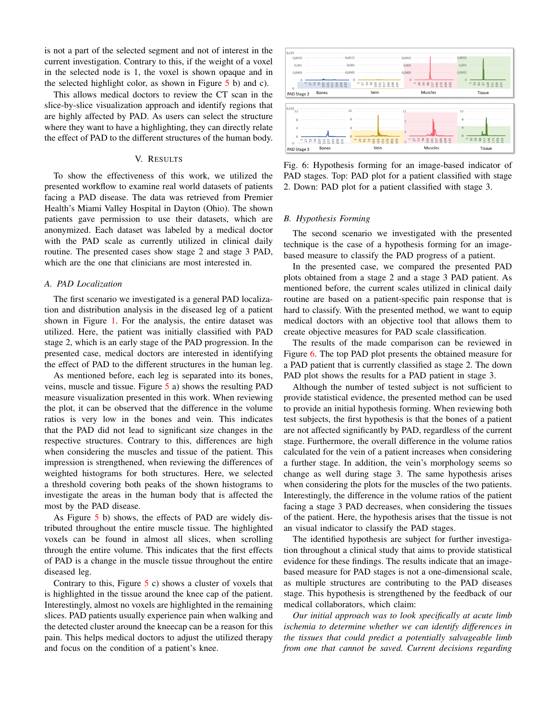is not a part of the selected segment and not of interest in the current investigation. Contrary to this, if the weight of a voxel in the selected node is 1, the voxel is shown opaque and in the selected highlight color, as shown in Figure [5](#page-4-0) b) and c).

This allows medical doctors to review the CT scan in the slice-by-slice visualization approach and identify regions that are highly affected by PAD. As users can select the structure where they want to have a highlighting, they can directly relate the effect of PAD to the different structures of the human body.

## V. RESULTS

To show the effectiveness of this work, we utilized the presented workflow to examine real world datasets of patients facing a PAD disease. The data was retrieved from Premier Health's Miami Valley Hospital in Dayton (Ohio). The shown patients gave permission to use their datasets, which are anonymized. Each dataset was labeled by a medical doctor with the PAD scale as currently utilized in clinical daily routine. The presented cases show stage 2 and stage 3 PAD, which are the one that clinicians are most interested in.

# *A. PAD Localization*

The first scenario we investigated is a general PAD localization and distribution analysis in the diseased leg of a patient shown in Figure [1.](#page-1-0) For the analysis, the entire dataset was utilized. Here, the patient was initially classified with PAD stage 2, which is an early stage of the PAD progression. In the presented case, medical doctors are interested in identifying the effect of PAD to the different structures in the human leg.

As mentioned before, each leg is separated into its bones, veins, muscle and tissue. Figure [5](#page-4-0) a) shows the resulting PAD measure visualization presented in this work. When reviewing the plot, it can be observed that the difference in the volume ratios is very low in the bones and vein. This indicates that the PAD did not lead to significant size changes in the respective structures. Contrary to this, differences are high when considering the muscles and tissue of the patient. This impression is strengthened, when reviewing the differences of weighted histograms for both structures. Here, we selected a threshold covering both peaks of the shown histograms to investigate the areas in the human body that is affected the most by the PAD disease.

As Figure [5](#page-4-0) b) shows, the effects of PAD are widely distributed throughout the entire muscle tissue. The highlighted voxels can be found in almost all slices, when scrolling through the entire volume. This indicates that the first effects of PAD is a change in the muscle tissue throughout the entire diseased leg.

Contrary to this, Figure  $5$  c) shows a cluster of voxels that is highlighted in the tissue around the knee cap of the patient. Interestingly, almost no voxels are highlighted in the remaining slices. PAD patients usually experience pain when walking and the detected cluster around the kneecap can be a reason for this pain. This helps medical doctors to adjust the utilized therapy and focus on the condition of a patient's knee.

<span id="page-5-0"></span>

Fig. 6: Hypothesis forming for an image-based indicator of PAD stages. Top: PAD plot for a patient classified with stage 2. Down: PAD plot for a patient classified with stage 3.

# *B. Hypothesis Forming*

The second scenario we investigated with the presented technique is the case of a hypothesis forming for an imagebased measure to classify the PAD progress of a patient.

In the presented case, we compared the presented PAD plots obtained from a stage 2 and a stage 3 PAD patient. As mentioned before, the current scales utilized in clinical daily routine are based on a patient-specific pain response that is hard to classify. With the presented method, we want to equip medical doctors with an objective tool that allows them to create objective measures for PAD scale classification.

The results of the made comparison can be reviewed in Figure [6.](#page-5-0) The top PAD plot presents the obtained measure for a PAD patient that is currently classified as stage 2. The down PAD plot shows the results for a PAD patient in stage 3.

Although the number of tested subject is not sufficient to provide statistical evidence, the presented method can be used to provide an initial hypothesis forming. When reviewing both test subjects, the first hypothesis is that the bones of a patient are not affected significantly by PAD, regardless of the current stage. Furthermore, the overall difference in the volume ratios calculated for the vein of a patient increases when considering a further stage. In addition, the vein's morphology seems so change as well during stage 3. The same hypothesis arises when considering the plots for the muscles of the two patients. Interestingly, the difference in the volume ratios of the patient facing a stage 3 PAD decreases, when considering the tissues of the patient. Here, the hypothesis arises that the tissue is not an visual indicator to classify the PAD stages.

The identified hypothesis are subject for further investigation throughout a clinical study that aims to provide statistical evidence for these findings. The results indicate that an imagebased measure for PAD stages is not a one-dimensional scale, as multiple structures are contributing to the PAD diseases stage. This hypothesis is strengthened by the feedback of our medical collaborators, which claim:

*Our initial approach was to look specifically at acute limb ischemia to determine whether we can identify differences in the tissues that could predict a potentially salvageable limb from one that cannot be saved. Current decisions regarding*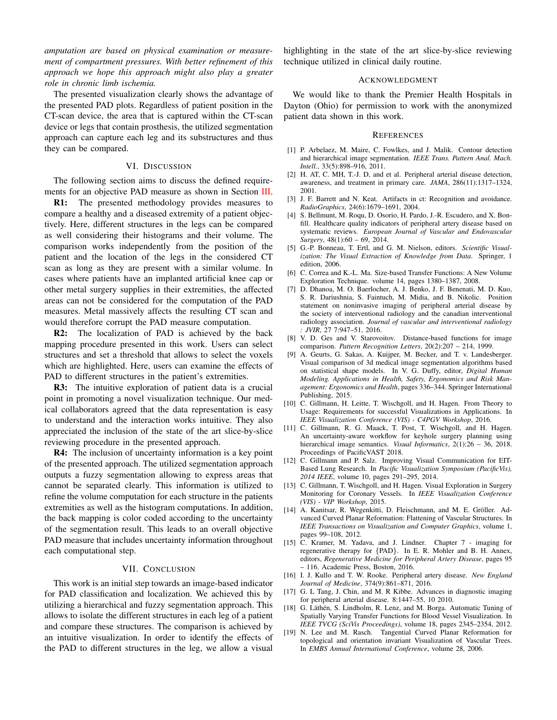*amputation are based on physical examination or measurement of compartment pressures. With better refinement of this approach we hope this approach might also play a greater role in chronic limb ischemia.*

The presented visualization clearly shows the advantage of the presented PAD plots. Regardless of patient position in the CT-scan device, the area that is captured within the CT-scan device or legs that contain prosthesis, the utilized segmentation approach can capture each leg and its substructures and thus they can be compared.

#### VI. DISCUSSION

The following section aims to discuss the defined require-ments for an objective PAD measure as shown in Section [III.](#page-1-1)

R1: The presented methodology provides measures to compare a healthy and a diseased extremity of a patient objectively. Here, different structures in the legs can be compared as well considering their histograms and their volume. The comparison works independently from the position of the patient and the location of the legs in the considered CT scan as long as they are present with a similar volume. In cases where patients have an implanted artificial knee cap or other metal surgery supplies in their extremities, the affected areas can not be considered for the computation of the PAD measures. Metal massively affects the resulting CT scan and would therefore corrupt the PAD measure computation.

R2: The localization of PAD is achieved by the back mapping procedure presented in this work. Users can select structures and set a threshold that allows to select the voxels which are highlighted. Here, users can examine the effects of PAD to different structures in the patient's extremities.

R3: The intuitive exploration of patient data is a crucial point in promoting a novel visualization technique. Our medical collaborators agreed that the data representation is easy to understand and the interaction works intuitive. They also appreciated the inclusion of the state of the art slice-by-slice reviewing procedure in the presented approach.

R4: The inclusion of uncertainty information is a key point of the presented approach. The utilized segmentation approach outputs a fuzzy segmentation allowing to express areas that cannot be separated clearly. This information is utilized to refine the volume computation for each structure in the patients extremities as well as the histogram computations. In addition, the back mapping is color coded according to the uncertainty of the segmentation result. This leads to an overall objective PAD measure that includes uncertainty information throughout each computational step.

# VII. CONCLUSION

This work is an initial step towards an image-based indicator for PAD classification and localization. We achieved this by utilizing a hierarchical and fuzzy segmentation approach. This allows to isolate the different structures in each leg of a patient and compare these structures. The comparison is achieved by an intuitive visualization. In order to identify the effects of the PAD to different structures in the leg, we allow a visual highlighting in the state of the art slice-by-slice reviewing technique utilized in clinical daily routine.

#### ACKNOWLEDGMENT

We would like to thank the Premier Health Hospitals in Dayton (Ohio) for permission to work with the anonymized patient data shown in this work.

#### **REFERENCES**

- <span id="page-6-18"></span>[1] P. Arbelaez, M. Maire, C. Fowlkes, and J. Malik. Contour detection and hierarchical image segmentation. *IEEE Trans. Pattern Anal. Mach. Intell.*, 33(5):898–916, 2011.
- <span id="page-6-1"></span>[2] H. AT, C. MH, T.-J. D, and et al. Peripheral arterial disease detection, awareness, and treatment in primary care. *JAMA*, 286(11):1317–1324, 2001.
- <span id="page-6-17"></span>[3] J. F. Barrett and N. Keat. Artifacts in ct: Recognition and avoidance. *RadioGraphics*, 24(6):1679–1691, 2004.
- <span id="page-6-3"></span>[4] S. Bellmunt, M. Roqu, D. Osorio, H. Pardo, J.-R. Escudero, and X. Bonfill. Healthcare quality indicators of peripheral artery disease based on systematic reviews. *European Journal of Vascular and Endovascular Surgery*, 48(1):60 – 69, 2014.
- <span id="page-6-6"></span>[5] G.-P. Bonneau, T. Ertl, and G. M. Nielson, editors. *Scientific Visualization: The Visual Extraction of Knowledge from Data*. Springer, 1 edition, 2006.
- <span id="page-6-10"></span>[6] C. Correa and K.-L. Ma. Size-based Transfer Functions: A New Volume Exploration Technique. volume 14, pages 1380–1387, 2008.
- <span id="page-6-4"></span>[7] D. Dhanoa, M. O. Baerlocher, A. J. Benko, J. F. Benenati, M. D. Kuo, S. R. Dariushnia, S. Faintuch, M. Midia, and B. Nikolic. Position statement on noninvasive imaging of peripheral arterial disease by the society of interventional radiology and the canadian interventional radiology association. *Journal of vascular and interventional radiology : JVIR*, 27 7:947–51, 2016.
- <span id="page-6-13"></span>[8] V. D. Ges and V. Starovoitov. Distance-based functions for image comparison. *Pattern Recognition Letters*, 20(2):207 – 214, 1999.
- <span id="page-6-14"></span>[9] A. Geurts, G. Sakas, A. Kuijper, M. Becker, and T. v. Landesberger. Visual comparison of 3d medical image segmentation algorithms based on statistical shape models. In V. G. Duffy, editor, *Digital Human Modeling. Applications in Health, Safety, Ergonomics and Risk Management: Ergonomics and Health*, pages 336–344. Springer International Publishing, 2015.
- <span id="page-6-15"></span>[10] C. Gillmann, H. Leitte, T. Wischgoll, and H. Hagen. From Theory to Usage: Requirements for successful Visualizations in Applications. In *IEEE Visualization Conference (VIS) - C4PGV Workshop*, 2016.
- <span id="page-6-16"></span>[11] C. Gillmann, R. G. Maack, T. Post, T. Wischgoll, and H. Hagen. An uncertainty-aware workflow for keyhole surgery planning using hierarchical image semantics. *Visual Informatics*, 2(1):26 – 36, 2018. Proceedings of PacificVAST 2018.
- <span id="page-6-11"></span>[12] C. Gillmann and P. Salz. Improving Visual Communication for EIT-Based Lung Research. In *Pacific Visualization Symposium (PacificVis), 2014 IEEE*, volume 10, pages 291–295, 2014.
- <span id="page-6-7"></span>[13] C. Gillmann, T. Wischgoll, and H. Hagen. Visual Exploration in Surgery Monitoring for Coronary Vessels. In *IEEE Visualization Conference (VIS) - VIP Workshop*, 2015.
- <span id="page-6-8"></span>[14] A. Kanitsar, R. Wegenkitti, D. Fleischmann, and M. E. Gröller. Advanced Curved Planar Reformation: Flattening of Vascular Structures. In *IEEE Transactions on Visualization and Computer Graphics*, volume 1, pages 99–108, 2012.
- <span id="page-6-2"></span>[15] C. Kramer, M. Yadava, and J. Lindner. Chapter 7 - imaging for regenerative therapy for {PAD}. In E. R. Mohler and B. H. Annex, editors, *Regenerative Medicine for Peripheral Artery Disease*, pages 95 – 116. Academic Press, Boston, 2016.
- <span id="page-6-0"></span>[16] I. J. Kullo and T. W. Rooke. Peripheral artery disease. *New England Journal of Medicine*, 374(9):861–871, 2016.
- <span id="page-6-5"></span>[17] G. L Tang, J. Chin, and M. R Kibbe. Advances in diagnostic imaging for peripheral arterial disease. 8:1447–55, 10 2010.
- <span id="page-6-12"></span>[18] G. Läthén, S. Lindholm, R. Lenz, and M. Borga. Automatic Tuning of Spatially Varying Transfer Functions for Blood Vessel Visualization. In *IEEE TVCG (SciVis Proceedings)*, volume 18, pages 2345–2354, 2012.
- <span id="page-6-9"></span>[19] N. Lee and M. Rasch. Tangential Curved Planar Reformation for topological and orientation invariant Visualization of Vascular Trees. In *EMBS Annual International Conference*, volume 28, 2006.